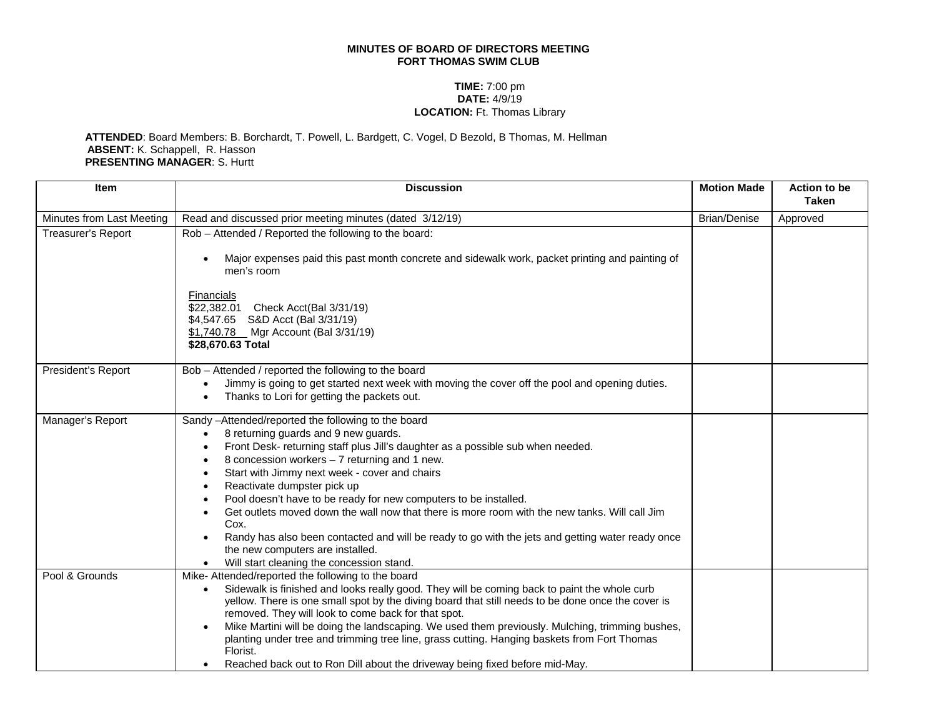## **MINUTES OF BOARD OF DIRECTORS MEETING FORT THOMAS SWIM CLUB**

## **TIME:** 7:00 pm **DATE:** 4/9/19 **LOCATION:** Ft. Thomas Library

## **ATTENDED**: Board Members: B. Borchardt, T. Powell, L. Bardgett, C. Vogel, D Bezold, B Thomas, M. Hellman **ABSENT:** K. Schappell, R. Hasson **PRESENTING MANAGER**: S. Hurtt

| <b>Item</b>               | <b>Discussion</b>                                                                                                                                              | <b>Motion Made</b>  | Action to be<br><b>Taken</b> |
|---------------------------|----------------------------------------------------------------------------------------------------------------------------------------------------------------|---------------------|------------------------------|
| Minutes from Last Meeting | Read and discussed prior meeting minutes (dated 3/12/19)                                                                                                       | <b>Brian/Denise</b> | Approved                     |
| Treasurer's Report        | Rob - Attended / Reported the following to the board:                                                                                                          |                     |                              |
|                           | Major expenses paid this past month concrete and sidewalk work, packet printing and painting of<br>men's room                                                  |                     |                              |
|                           | Financials                                                                                                                                                     |                     |                              |
|                           | \$22,382.01 Check Acct(Bal 3/31/19)                                                                                                                            |                     |                              |
|                           | \$4,547.65 S&D Acct (Bal 3/31/19)<br>\$1,740.78 Mgr Account (Bal 3/31/19)                                                                                      |                     |                              |
|                           | \$28,670.63 Total                                                                                                                                              |                     |                              |
| President's Report        | Bob - Attended / reported the following to the board                                                                                                           |                     |                              |
|                           | Jimmy is going to get started next week with moving the cover off the pool and opening duties.                                                                 |                     |                              |
|                           | Thanks to Lori for getting the packets out.                                                                                                                    |                     |                              |
| Manager's Report          | Sandy -Attended/reported the following to the board                                                                                                            |                     |                              |
|                           | 8 returning guards and 9 new guards.                                                                                                                           |                     |                              |
|                           | Front Desk- returning staff plus Jill's daughter as a possible sub when needed.<br>8 concession workers $-7$ returning and 1 new.                              |                     |                              |
|                           | Start with Jimmy next week - cover and chairs                                                                                                                  |                     |                              |
|                           | Reactivate dumpster pick up                                                                                                                                    |                     |                              |
|                           | Pool doesn't have to be ready for new computers to be installed.                                                                                               |                     |                              |
|                           | Get outlets moved down the wall now that there is more room with the new tanks. Will call Jim<br>Cox.                                                          |                     |                              |
|                           | Randy has also been contacted and will be ready to go with the jets and getting water ready once                                                               |                     |                              |
|                           | the new computers are installed.                                                                                                                               |                     |                              |
| Pool & Grounds            | Will start cleaning the concession stand.                                                                                                                      |                     |                              |
|                           | Mike-Attended/reported the following to the board<br>Sidewalk is finished and looks really good. They will be coming back to paint the whole curb<br>$\bullet$ |                     |                              |
|                           | yellow. There is one small spot by the diving board that still needs to be done once the cover is                                                              |                     |                              |
|                           | removed. They will look to come back for that spot.                                                                                                            |                     |                              |
|                           | Mike Martini will be doing the landscaping. We used them previously. Mulching, trimming bushes,                                                                |                     |                              |
|                           | planting under tree and trimming tree line, grass cutting. Hanging baskets from Fort Thomas<br>Florist.                                                        |                     |                              |
|                           | Reached back out to Ron Dill about the driveway being fixed before mid-May.                                                                                    |                     |                              |